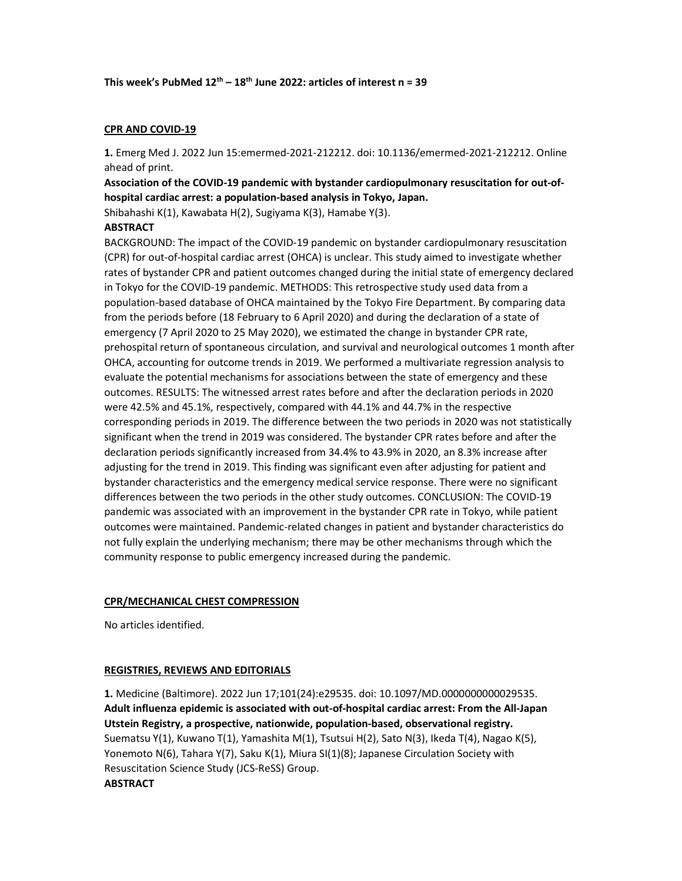## CPR AND COVID-19

1. Emerg Med J. 2022 Jun 15:emermed-2021-212212. doi: 10.1136/emermed-2021-212212. Online ahead of print.

Association of the COVID-19 pandemic with bystander cardiopulmonary resuscitation for out-ofhospital cardiac arrest: a population-based analysis in Tokyo, Japan.

Shibahashi K(1), Kawabata H(2), Sugiyama K(3), Hamabe Y(3).

## **ABSTRACT**

BACKGROUND: The impact of the COVID-19 pandemic on bystander cardiopulmonary resuscitation (CPR) for out-of-hospital cardiac arrest (OHCA) is unclear. This study aimed to investigate whether rates of bystander CPR and patient outcomes changed during the initial state of emergency declared in Tokyo for the COVID-19 pandemic. METHODS: This retrospective study used data from a population-based database of OHCA maintained by the Tokyo Fire Department. By comparing data from the periods before (18 February to 6 April 2020) and during the declaration of a state of emergency (7 April 2020 to 25 May 2020), we estimated the change in bystander CPR rate, prehospital return of spontaneous circulation, and survival and neurological outcomes 1 month after OHCA, accounting for outcome trends in 2019. We performed a multivariate regression analysis to evaluate the potential mechanisms for associations between the state of emergency and these outcomes. RESULTS: The witnessed arrest rates before and after the declaration periods in 2020 were 42.5% and 45.1%, respectively, compared with 44.1% and 44.7% in the respective corresponding periods in 2019. The difference between the two periods in 2020 was not statistically significant when the trend in 2019 was considered. The bystander CPR rates before and after the declaration periods significantly increased from 34.4% to 43.9% in 2020, an 8.3% increase after adjusting for the trend in 2019. This finding was significant even after adjusting for patient and bystander characteristics and the emergency medical service response. There were no significant differences between the two periods in the other study outcomes. CONCLUSION: The COVID-19 pandemic was associated with an improvement in the bystander CPR rate in Tokyo, while patient outcomes were maintained. Pandemic-related changes in patient and bystander characteristics do not fully explain the underlying mechanism; there may be other mechanisms through which the community response to public emergency increased during the pandemic.

### CPR/MECHANICAL CHEST COMPRESSION

No articles identified.

### REGISTRIES, REVIEWS AND EDITORIALS

1. Medicine (Baltimore). 2022 Jun 17;101(24):e29535. doi: 10.1097/MD.0000000000029535. Adult influenza epidemic is associated with out-of-hospital cardiac arrest: From the All-Japan Utstein Registry, a prospective, nationwide, population-based, observational registry. Suematsu Y(1), Kuwano T(1), Yamashita M(1), Tsutsui H(2), Sato N(3), Ikeda T(4), Nagao K(5), Yonemoto N(6), Tahara Y(7), Saku K(1), Miura SI(1)(8); Japanese Circulation Society with Resuscitation Science Study (JCS-ReSS) Group. ABSTRACT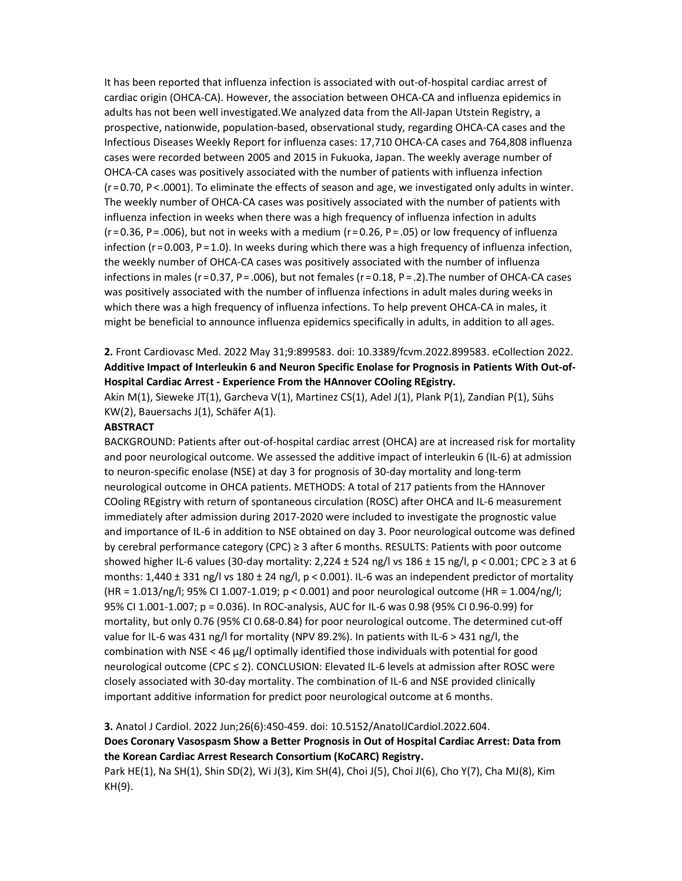It has been reported that influenza infection is associated with out-of-hospital cardiac arrest of cardiac origin (OHCA-CA). However, the association between OHCA-CA and influenza epidemics in adults has not been well investigated.We analyzed data from the All-Japan Utstein Registry, a prospective, nationwide, population-based, observational study, regarding OHCA-CA cases and the Infectious Diseases Weekly Report for influenza cases: 17,710 OHCA-CA cases and 764,808 influenza cases were recorded between 2005 and 2015 in Fukuoka, Japan. The weekly average number of OHCA-CA cases was positively associated with the number of patients with influenza infection  $(r=0.70, P<.0001)$ . To eliminate the effects of season and age, we investigated only adults in winter. The weekly number of OHCA-CA cases was positively associated with the number of patients with influenza infection in weeks when there was a high frequency of influenza infection in adults ( $r = 0.36$ , P $=$  .006), but not in weeks with a medium ( $r = 0.26$ , P $=$  .05) or low frequency of influenza infection ( $r = 0.003$ ,  $P = 1.0$ ). In weeks during which there was a high frequency of influenza infection, the weekly number of OHCA-CA cases was positively associated with the number of influenza infections in males ( $r = 0.37$ , P $=$  .006), but not females ( $r = 0.18$ , P $=$  .2). The number of OHCA-CA cases was positively associated with the number of influenza infections in adult males during weeks in which there was a high frequency of influenza infections. To help prevent OHCA-CA in males, it might be beneficial to announce influenza epidemics specifically in adults, in addition to all ages.

# 2. Front Cardiovasc Med. 2022 May 31;9:899583. doi: 10.3389/fcvm.2022.899583. eCollection 2022. Additive Impact of Interleukin 6 and Neuron Specific Enolase for Prognosis in Patients With Out-of-Hospital Cardiac Arrest - Experience From the HAnnover COoling REgistry.

Akin M(1), Sieweke JT(1), Garcheva V(1), Martinez CS(1), Adel J(1), Plank P(1), Zandian P(1), Sühs KW(2), Bauersachs J(1), Schäfer A(1).

### **ABSTRACT**

BACKGROUND: Patients after out-of-hospital cardiac arrest (OHCA) are at increased risk for mortality and poor neurological outcome. We assessed the additive impact of interleukin 6 (IL-6) at admission to neuron-specific enolase (NSE) at day 3 for prognosis of 30-day mortality and long-term neurological outcome in OHCA patients. METHODS: A total of 217 patients from the HAnnover COoling REgistry with return of spontaneous circulation (ROSC) after OHCA and IL-6 measurement immediately after admission during 2017-2020 were included to investigate the prognostic value and importance of IL-6 in addition to NSE obtained on day 3. Poor neurological outcome was defined by cerebral performance category (CPC) ≥ 3 after 6 months. RESULTS: Patients with poor outcome showed higher IL-6 values (30-day mortality: 2,224 ± 524 ng/l vs 186 ± 15 ng/l, p < 0.001; CPC  $\geq$  3 at 6 months:  $1,440 \pm 331$  ng/l vs  $180 \pm 24$  ng/l, p < 0.001). IL-6 was an independent predictor of mortality (HR = 1.013/ng/l; 95% CI 1.007-1.019; p < 0.001) and poor neurological outcome (HR = 1.004/ng/l; 95% CI 1.001-1.007; p = 0.036). In ROC-analysis, AUC for IL-6 was 0.98 (95% CI 0.96-0.99) for mortality, but only 0.76 (95% CI 0.68-0.84) for poor neurological outcome. The determined cut-off value for IL-6 was 431 ng/l for mortality (NPV 89.2%). In patients with IL-6 > 431 ng/l, the combination with NSE < 46 μg/l optimally identified those individuals with potential for good neurological outcome (CPC ≤ 2). CONCLUSION: Elevated IL-6 levels at admission after ROSC were closely associated with 30-day mortality. The combination of IL-6 and NSE provided clinically important additive information for predict poor neurological outcome at 6 months.

# 3. Anatol J Cardiol. 2022 Jun;26(6):450-459. doi: 10.5152/AnatolJCardiol.2022.604.

## Does Coronary Vasospasm Show a Better Prognosis in Out of Hospital Cardiac Arrest: Data from the Korean Cardiac Arrest Research Consortium (KoCARC) Registry.

Park HE(1), Na SH(1), Shin SD(2), Wi J(3), Kim SH(4), Choi J(5), Choi JI(6), Cho Y(7), Cha MJ(8), Kim KH(9).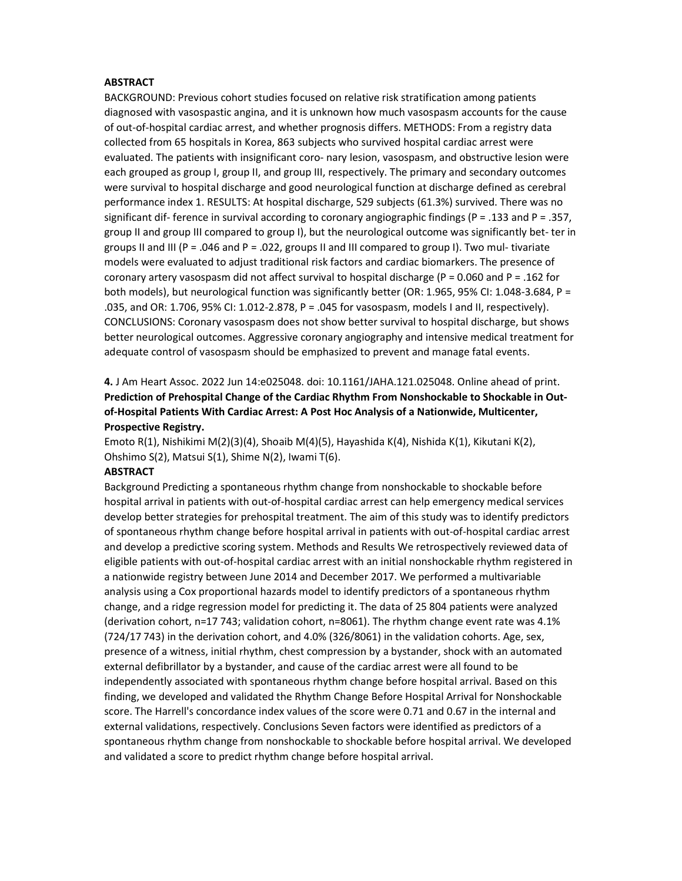#### **ABSTRACT**

BACKGROUND: Previous cohort studies focused on relative risk stratification among patients diagnosed with vasospastic angina, and it is unknown how much vasospasm accounts for the cause of out-of-hospital cardiac arrest, and whether prognosis differs. METHODS: From a registry data collected from 65 hospitals in Korea, 863 subjects who survived hospital cardiac arrest were evaluated. The patients with insignificant coro- nary lesion, vasospasm, and obstructive lesion were each grouped as group I, group II, and group III, respectively. The primary and secondary outcomes were survival to hospital discharge and good neurological function at discharge defined as cerebral performance index 1. RESULTS: At hospital discharge, 529 subjects (61.3%) survived. There was no significant dif- ference in survival according to coronary angiographic findings (P = .133 and P = .357, group II and group III compared to group I), but the neurological outcome was significantly bet- ter in groups II and III (P = .046 and P = .022, groups II and III compared to group I). Two mul- tivariate models were evaluated to adjust traditional risk factors and cardiac biomarkers. The presence of coronary artery vasospasm did not affect survival to hospital discharge (P = 0.060 and P = .162 for both models), but neurological function was significantly better (OR: 1.965, 95% CI: 1.048-3.684, P = .035, and OR: 1.706, 95% CI: 1.012-2.878, P = .045 for vasospasm, models I and II, respectively). CONCLUSIONS: Coronary vasospasm does not show better survival to hospital discharge, but shows better neurological outcomes. Aggressive coronary angiography and intensive medical treatment for adequate control of vasospasm should be emphasized to prevent and manage fatal events.

4. J Am Heart Assoc. 2022 Jun 14:e025048. doi: 10.1161/JAHA.121.025048. Online ahead of print. Prediction of Prehospital Change of the Cardiac Rhythm From Nonshockable to Shockable in Outof-Hospital Patients With Cardiac Arrest: A Post Hoc Analysis of a Nationwide, Multicenter, Prospective Registry.

Emoto R(1), Nishikimi M(2)(3)(4), Shoaib M(4)(5), Hayashida K(4), Nishida K(1), Kikutani K(2), Ohshimo S(2), Matsui S(1), Shime N(2), Iwami T(6).

#### ABSTRACT

Background Predicting a spontaneous rhythm change from nonshockable to shockable before hospital arrival in patients with out-of-hospital cardiac arrest can help emergency medical services develop better strategies for prehospital treatment. The aim of this study was to identify predictors of spontaneous rhythm change before hospital arrival in patients with out-of-hospital cardiac arrest and develop a predictive scoring system. Methods and Results We retrospectively reviewed data of eligible patients with out-of-hospital cardiac arrest with an initial nonshockable rhythm registered in a nationwide registry between June 2014 and December 2017. We performed a multivariable analysis using a Cox proportional hazards model to identify predictors of a spontaneous rhythm change, and a ridge regression model for predicting it. The data of 25 804 patients were analyzed (derivation cohort, n=17 743; validation cohort, n=8061). The rhythm change event rate was 4.1% (724/17 743) in the derivation cohort, and 4.0% (326/8061) in the validation cohorts. Age, sex, presence of a witness, initial rhythm, chest compression by a bystander, shock with an automated external defibrillator by a bystander, and cause of the cardiac arrest were all found to be independently associated with spontaneous rhythm change before hospital arrival. Based on this finding, we developed and validated the Rhythm Change Before Hospital Arrival for Nonshockable score. The Harrell's concordance index values of the score were 0.71 and 0.67 in the internal and external validations, respectively. Conclusions Seven factors were identified as predictors of a spontaneous rhythm change from nonshockable to shockable before hospital arrival. We developed and validated a score to predict rhythm change before hospital arrival.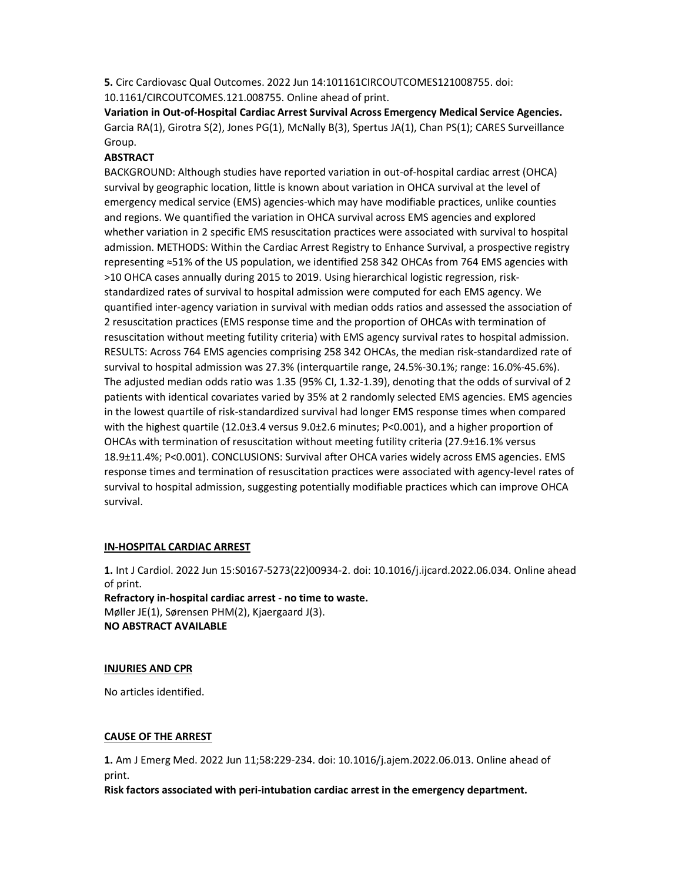5. Circ Cardiovasc Qual Outcomes. 2022 Jun 14:101161CIRCOUTCOMES121008755. doi: 10.1161/CIRCOUTCOMES.121.008755. Online ahead of print.

Variation in Out-of-Hospital Cardiac Arrest Survival Across Emergency Medical Service Agencies. Garcia RA(1), Girotra S(2), Jones PG(1), McNally B(3), Spertus JA(1), Chan PS(1); CARES Surveillance Group.

## ABSTRACT

BACKGROUND: Although studies have reported variation in out-of-hospital cardiac arrest (OHCA) survival by geographic location, little is known about variation in OHCA survival at the level of emergency medical service (EMS) agencies-which may have modifiable practices, unlike counties and regions. We quantified the variation in OHCA survival across EMS agencies and explored whether variation in 2 specific EMS resuscitation practices were associated with survival to hospital admission. METHODS: Within the Cardiac Arrest Registry to Enhance Survival, a prospective registry representing ≈51% of the US population, we identified 258 342 OHCAs from 764 EMS agencies with >10 OHCA cases annually during 2015 to 2019. Using hierarchical logistic regression, riskstandardized rates of survival to hospital admission were computed for each EMS agency. We quantified inter-agency variation in survival with median odds ratios and assessed the association of 2 resuscitation practices (EMS response time and the proportion of OHCAs with termination of resuscitation without meeting futility criteria) with EMS agency survival rates to hospital admission. RESULTS: Across 764 EMS agencies comprising 258 342 OHCAs, the median risk-standardized rate of survival to hospital admission was 27.3% (interquartile range, 24.5%-30.1%; range: 16.0%-45.6%). The adjusted median odds ratio was 1.35 (95% CI, 1.32-1.39), denoting that the odds of survival of 2 patients with identical covariates varied by 35% at 2 randomly selected EMS agencies. EMS agencies in the lowest quartile of risk-standardized survival had longer EMS response times when compared with the highest quartile (12.0±3.4 versus 9.0±2.6 minutes; P<0.001), and a higher proportion of OHCAs with termination of resuscitation without meeting futility criteria (27.9±16.1% versus 18.9±11.4%; P<0.001). CONCLUSIONS: Survival after OHCA varies widely across EMS agencies. EMS response times and termination of resuscitation practices were associated with agency-level rates of survival to hospital admission, suggesting potentially modifiable practices which can improve OHCA survival.

### IN-HOSPITAL CARDIAC ARREST

1. Int J Cardiol. 2022 Jun 15:S0167-5273(22)00934-2. doi: 10.1016/j.ijcard.2022.06.034. Online ahead of print. Refractory in-hospital cardiac arrest - no time to waste. Møller JE(1), Sørensen PHM(2), Kjaergaard J(3). NO ABSTRACT AVAILABLE

#### INJURIES AND CPR

No articles identified.

#### CAUSE OF THE ARREST

1. Am J Emerg Med. 2022 Jun 11;58:229-234. doi: 10.1016/j.ajem.2022.06.013. Online ahead of print.

Risk factors associated with peri-intubation cardiac arrest in the emergency department.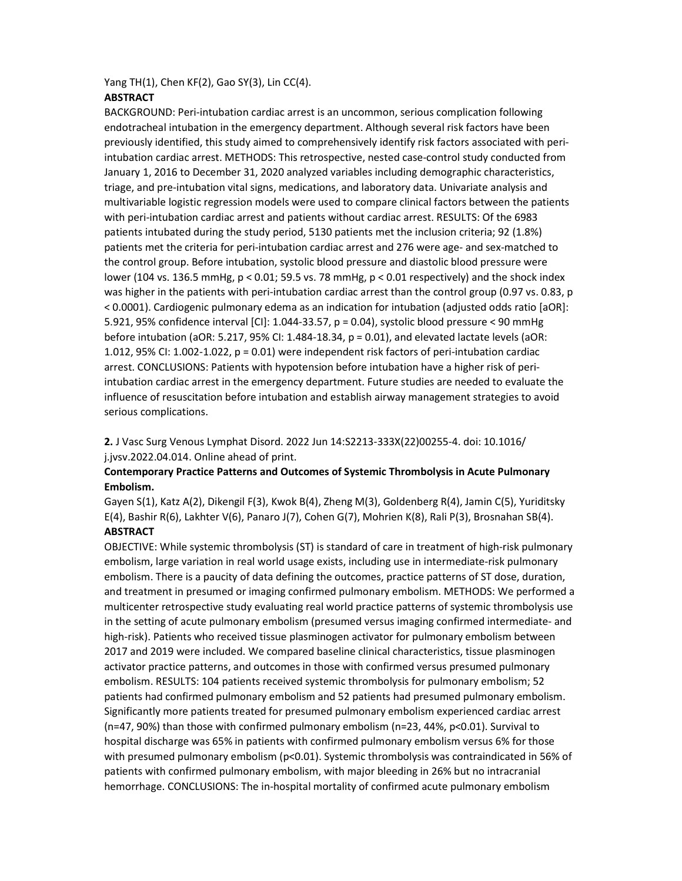#### Yang TH(1), Chen KF(2), Gao SY(3), Lin CC(4). **ABSTRACT**

BACKGROUND: Peri-intubation cardiac arrest is an uncommon, serious complication following endotracheal intubation in the emergency department. Although several risk factors have been previously identified, this study aimed to comprehensively identify risk factors associated with periintubation cardiac arrest. METHODS: This retrospective, nested case-control study conducted from January 1, 2016 to December 31, 2020 analyzed variables including demographic characteristics, triage, and pre-intubation vital signs, medications, and laboratory data. Univariate analysis and multivariable logistic regression models were used to compare clinical factors between the patients with peri-intubation cardiac arrest and patients without cardiac arrest. RESULTS: Of the 6983 patients intubated during the study period, 5130 patients met the inclusion criteria; 92 (1.8%) patients met the criteria for peri-intubation cardiac arrest and 276 were age- and sex-matched to the control group. Before intubation, systolic blood pressure and diastolic blood pressure were lower (104 vs. 136.5 mmHg, p < 0.01; 59.5 vs. 78 mmHg, p < 0.01 respectively) and the shock index was higher in the patients with peri-intubation cardiac arrest than the control group (0.97 vs. 0.83, p < 0.0001). Cardiogenic pulmonary edema as an indication for intubation (adjusted odds ratio [aOR]: 5.921, 95% confidence interval [CI]: 1.044-33.57, p = 0.04), systolic blood pressure < 90 mmHg before intubation (aOR: 5.217, 95% CI: 1.484-18.34, p = 0.01), and elevated lactate levels (aOR: 1.012, 95% CI: 1.002-1.022, p = 0.01) were independent risk factors of peri-intubation cardiac arrest. CONCLUSIONS: Patients with hypotension before intubation have a higher risk of periintubation cardiac arrest in the emergency department. Future studies are needed to evaluate the influence of resuscitation before intubation and establish airway management strategies to avoid serious complications.

2. J Vasc Surg Venous Lymphat Disord. 2022 Jun 14:S2213-333X(22)00255-4. doi: 10.1016/ j.jvsv.2022.04.014. Online ahead of print.

## Contemporary Practice Patterns and Outcomes of Systemic Thrombolysis in Acute Pulmonary Embolism.

Gayen S(1), Katz A(2), Dikengil F(3), Kwok B(4), Zheng M(3), Goldenberg R(4), Jamin C(5), Yuriditsky E(4), Bashir R(6), Lakhter V(6), Panaro J(7), Cohen G(7), Mohrien K(8), Rali P(3), Brosnahan SB(4). ABSTRACT

OBJECTIVE: While systemic thrombolysis (ST) is standard of care in treatment of high-risk pulmonary embolism, large variation in real world usage exists, including use in intermediate-risk pulmonary embolism. There is a paucity of data defining the outcomes, practice patterns of ST dose, duration, and treatment in presumed or imaging confirmed pulmonary embolism. METHODS: We performed a multicenter retrospective study evaluating real world practice patterns of systemic thrombolysis use in the setting of acute pulmonary embolism (presumed versus imaging confirmed intermediate- and high-risk). Patients who received tissue plasminogen activator for pulmonary embolism between 2017 and 2019 were included. We compared baseline clinical characteristics, tissue plasminogen activator practice patterns, and outcomes in those with confirmed versus presumed pulmonary embolism. RESULTS: 104 patients received systemic thrombolysis for pulmonary embolism; 52 patients had confirmed pulmonary embolism and 52 patients had presumed pulmonary embolism. Significantly more patients treated for presumed pulmonary embolism experienced cardiac arrest (n=47, 90%) than those with confirmed pulmonary embolism (n=23, 44%, p<0.01). Survival to hospital discharge was 65% in patients with confirmed pulmonary embolism versus 6% for those with presumed pulmonary embolism (p<0.01). Systemic thrombolysis was contraindicated in 56% of patients with confirmed pulmonary embolism, with major bleeding in 26% but no intracranial hemorrhage. CONCLUSIONS: The in-hospital mortality of confirmed acute pulmonary embolism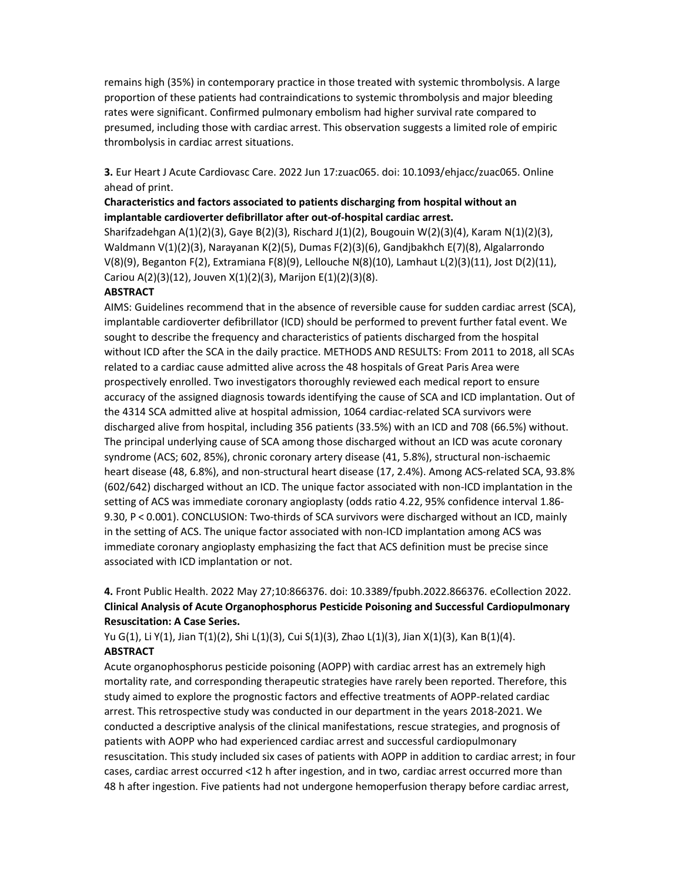remains high (35%) in contemporary practice in those treated with systemic thrombolysis. A large proportion of these patients had contraindications to systemic thrombolysis and major bleeding rates were significant. Confirmed pulmonary embolism had higher survival rate compared to presumed, including those with cardiac arrest. This observation suggests a limited role of empiric thrombolysis in cardiac arrest situations.

3. Eur Heart J Acute Cardiovasc Care. 2022 Jun 17:zuac065. doi: 10.1093/ehjacc/zuac065. Online ahead of print.

## Characteristics and factors associated to patients discharging from hospital without an implantable cardioverter defibrillator after out-of-hospital cardiac arrest.

Sharifzadehgan A(1)(2)(3), Gaye B(2)(3), Rischard J(1)(2), Bougouin W(2)(3)(4), Karam N(1)(2)(3), Waldmann V(1)(2)(3), Narayanan K(2)(5), Dumas F(2)(3)(6), Gandjbakhch E(7)(8), Algalarrondo V(8)(9), Beganton F(2), Extramiana F(8)(9), Lellouche N(8)(10), Lamhaut L(2)(3)(11), Jost D(2)(11), Cariou A(2)(3)(12), Jouven X(1)(2)(3), Marijon E(1)(2)(3)(8).

## **ABSTRACT**

AIMS: Guidelines recommend that in the absence of reversible cause for sudden cardiac arrest (SCA), implantable cardioverter defibrillator (ICD) should be performed to prevent further fatal event. We sought to describe the frequency and characteristics of patients discharged from the hospital without ICD after the SCA in the daily practice. METHODS AND RESULTS: From 2011 to 2018, all SCAs related to a cardiac cause admitted alive across the 48 hospitals of Great Paris Area were prospectively enrolled. Two investigators thoroughly reviewed each medical report to ensure accuracy of the assigned diagnosis towards identifying the cause of SCA and ICD implantation. Out of the 4314 SCA admitted alive at hospital admission, 1064 cardiac-related SCA survivors were discharged alive from hospital, including 356 patients (33.5%) with an ICD and 708 (66.5%) without. The principal underlying cause of SCA among those discharged without an ICD was acute coronary syndrome (ACS; 602, 85%), chronic coronary artery disease (41, 5.8%), structural non-ischaemic heart disease (48, 6.8%), and non-structural heart disease (17, 2.4%). Among ACS-related SCA, 93.8% (602/642) discharged without an ICD. The unique factor associated with non-ICD implantation in the setting of ACS was immediate coronary angioplasty (odds ratio 4.22, 95% confidence interval 1.86- 9.30, P < 0.001). CONCLUSION: Two-thirds of SCA survivors were discharged without an ICD, mainly in the setting of ACS. The unique factor associated with non-ICD implantation among ACS was immediate coronary angioplasty emphasizing the fact that ACS definition must be precise since associated with ICD implantation or not.

# 4. Front Public Health. 2022 May 27;10:866376. doi: 10.3389/fpubh.2022.866376. eCollection 2022. Clinical Analysis of Acute Organophosphorus Pesticide Poisoning and Successful Cardiopulmonary Resuscitation: A Case Series.

Yu G(1), Li Y(1), Jian T(1)(2), Shi L(1)(3), Cui S(1)(3), Zhao L(1)(3), Jian X(1)(3), Kan B(1)(4). **ABSTRACT** 

Acute organophosphorus pesticide poisoning (AOPP) with cardiac arrest has an extremely high mortality rate, and corresponding therapeutic strategies have rarely been reported. Therefore, this study aimed to explore the prognostic factors and effective treatments of AOPP-related cardiac arrest. This retrospective study was conducted in our department in the years 2018-2021. We conducted a descriptive analysis of the clinical manifestations, rescue strategies, and prognosis of patients with AOPP who had experienced cardiac arrest and successful cardiopulmonary resuscitation. This study included six cases of patients with AOPP in addition to cardiac arrest; in four cases, cardiac arrest occurred <12 h after ingestion, and in two, cardiac arrest occurred more than 48 h after ingestion. Five patients had not undergone hemoperfusion therapy before cardiac arrest,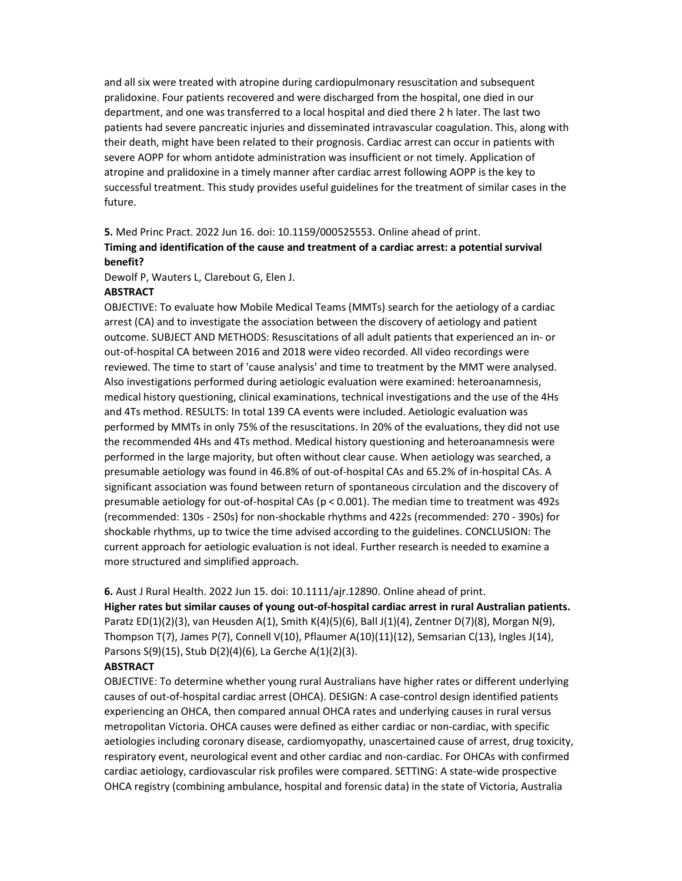and all six were treated with atropine during cardiopulmonary resuscitation and subsequent pralidoxine. Four patients recovered and were discharged from the hospital, one died in our department, and one was transferred to a local hospital and died there 2 h later. The last two patients had severe pancreatic injuries and disseminated intravascular coagulation. This, along with their death, might have been related to their prognosis. Cardiac arrest can occur in patients with severe AOPP for whom antidote administration was insufficient or not timely. Application of atropine and pralidoxine in a timely manner after cardiac arrest following AOPP is the key to successful treatment. This study provides useful guidelines for the treatment of similar cases in the future.

5. Med Princ Pract. 2022 Jun 16. doi: 10.1159/000525553. Online ahead of print.

# Timing and identification of the cause and treatment of a cardiac arrest: a potential survival benefit?

Dewolf P, Wauters L, Clarebout G, Elen J.

### **ABSTRACT**

OBJECTIVE: To evaluate how Mobile Medical Teams (MMTs) search for the aetiology of a cardiac arrest (CA) and to investigate the association between the discovery of aetiology and patient outcome. SUBJECT AND METHODS: Resuscitations of all adult patients that experienced an in- or out-of-hospital CA between 2016 and 2018 were video recorded. All video recordings were reviewed. The time to start of 'cause analysis' and time to treatment by the MMT were analysed. Also investigations performed during aetiologic evaluation were examined: heteroanamnesis, medical history questioning, clinical examinations, technical investigations and the use of the 4Hs and 4Ts method. RESULTS: In total 139 CA events were included. Aetiologic evaluation was performed by MMTs in only 75% of the resuscitations. In 20% of the evaluations, they did not use the recommended 4Hs and 4Ts method. Medical history questioning and heteroanamnesis were performed in the large majority, but often without clear cause. When aetiology was searched, a presumable aetiology was found in 46.8% of out-of-hospital CAs and 65.2% of in-hospital CAs. A significant association was found between return of spontaneous circulation and the discovery of presumable aetiology for out-of-hospital CAs (p < 0.001). The median time to treatment was 492s (recommended: 130s - 250s) for non-shockable rhythms and 422s (recommended: 270 - 390s) for shockable rhythms, up to twice the time advised according to the guidelines. CONCLUSION: The current approach for aetiologic evaluation is not ideal. Further research is needed to examine a more structured and simplified approach.

6. Aust J Rural Health. 2022 Jun 15. doi: 10.1111/ajr.12890. Online ahead of print.

Higher rates but similar causes of young out-of-hospital cardiac arrest in rural Australian patients. Paratz ED(1)(2)(3), van Heusden A(1), Smith K(4)(5)(6), Ball J(1)(4), Zentner D(7)(8), Morgan N(9), Thompson T(7), James P(7), Connell V(10), Pflaumer A(10)(11)(12), Semsarian C(13), Ingles J(14), Parsons S(9)(15), Stub D(2)(4)(6), La Gerche A(1)(2)(3).

### **ABSTRACT**

OBJECTIVE: To determine whether young rural Australians have higher rates or different underlying causes of out-of-hospital cardiac arrest (OHCA). DESIGN: A case-control design identified patients experiencing an OHCA, then compared annual OHCA rates and underlying causes in rural versus metropolitan Victoria. OHCA causes were defined as either cardiac or non-cardiac, with specific aetiologies including coronary disease, cardiomyopathy, unascertained cause of arrest, drug toxicity, respiratory event, neurological event and other cardiac and non-cardiac. For OHCAs with confirmed cardiac aetiology, cardiovascular risk profiles were compared. SETTING: A state-wide prospective OHCA registry (combining ambulance, hospital and forensic data) in the state of Victoria, Australia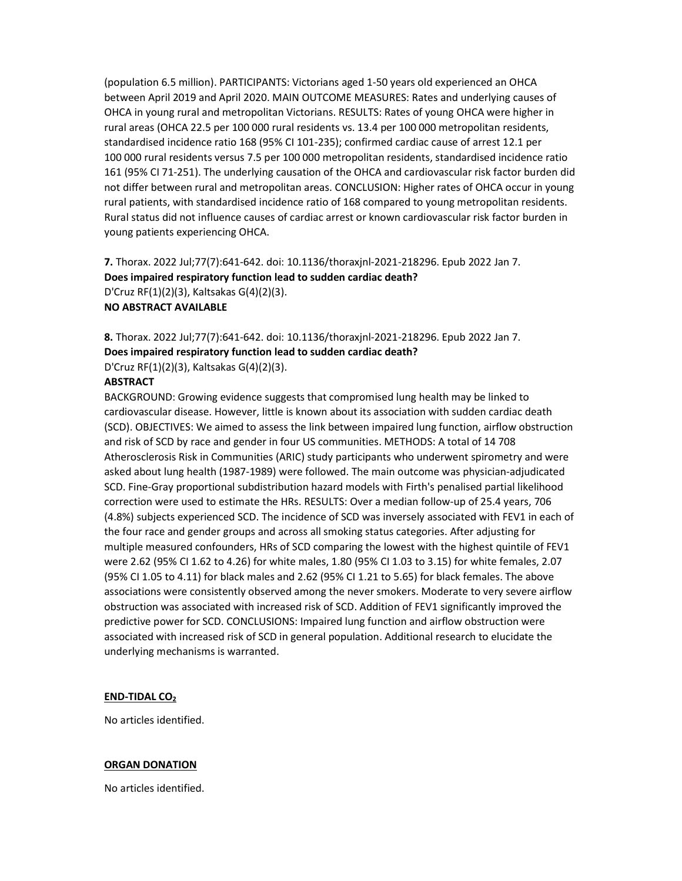(population 6.5 million). PARTICIPANTS: Victorians aged 1-50 years old experienced an OHCA between April 2019 and April 2020. MAIN OUTCOME MEASURES: Rates and underlying causes of OHCA in young rural and metropolitan Victorians. RESULTS: Rates of young OHCA were higher in rural areas (OHCA 22.5 per 100 000 rural residents vs. 13.4 per 100 000 metropolitan residents, standardised incidence ratio 168 (95% CI 101-235); confirmed cardiac cause of arrest 12.1 per 100 000 rural residents versus 7.5 per 100 000 metropolitan residents, standardised incidence ratio 161 (95% CI 71-251). The underlying causation of the OHCA and cardiovascular risk factor burden did not differ between rural and metropolitan areas. CONCLUSION: Higher rates of OHCA occur in young rural patients, with standardised incidence ratio of 168 compared to young metropolitan residents. Rural status did not influence causes of cardiac arrest or known cardiovascular risk factor burden in young patients experiencing OHCA.

7. Thorax. 2022 Jul;77(7):641-642. doi: 10.1136/thoraxjnl-2021-218296. Epub 2022 Jan 7. Does impaired respiratory function lead to sudden cardiac death? D'Cruz RF(1)(2)(3), Kaltsakas G(4)(2)(3). NO ABSTRACT AVAILABLE

8. Thorax. 2022 Jul;77(7):641-642. doi: 10.1136/thoraxjnl-2021-218296. Epub 2022 Jan 7. Does impaired respiratory function lead to sudden cardiac death? D'Cruz RF(1)(2)(3), Kaltsakas G(4)(2)(3).

#### **ABSTRACT**

BACKGROUND: Growing evidence suggests that compromised lung health may be linked to cardiovascular disease. However, little is known about its association with sudden cardiac death (SCD). OBJECTIVES: We aimed to assess the link between impaired lung function, airflow obstruction and risk of SCD by race and gender in four US communities. METHODS: A total of 14 708 Atherosclerosis Risk in Communities (ARIC) study participants who underwent spirometry and were asked about lung health (1987-1989) were followed. The main outcome was physician-adjudicated SCD. Fine-Gray proportional subdistribution hazard models with Firth's penalised partial likelihood correction were used to estimate the HRs. RESULTS: Over a median follow-up of 25.4 years, 706 (4.8%) subjects experienced SCD. The incidence of SCD was inversely associated with FEV1 in each of the four race and gender groups and across all smoking status categories. After adjusting for multiple measured confounders, HRs of SCD comparing the lowest with the highest quintile of FEV1 were 2.62 (95% CI 1.62 to 4.26) for white males, 1.80 (95% CI 1.03 to 3.15) for white females, 2.07 (95% CI 1.05 to 4.11) for black males and 2.62 (95% CI 1.21 to 5.65) for black females. The above associations were consistently observed among the never smokers. Moderate to very severe airflow obstruction was associated with increased risk of SCD. Addition of FEV1 significantly improved the predictive power for SCD. CONCLUSIONS: Impaired lung function and airflow obstruction were associated with increased risk of SCD in general population. Additional research to elucidate the underlying mechanisms is warranted.

#### END-TIDAL CO<sup>2</sup>

No articles identified.

#### ORGAN DONATION

No articles identified.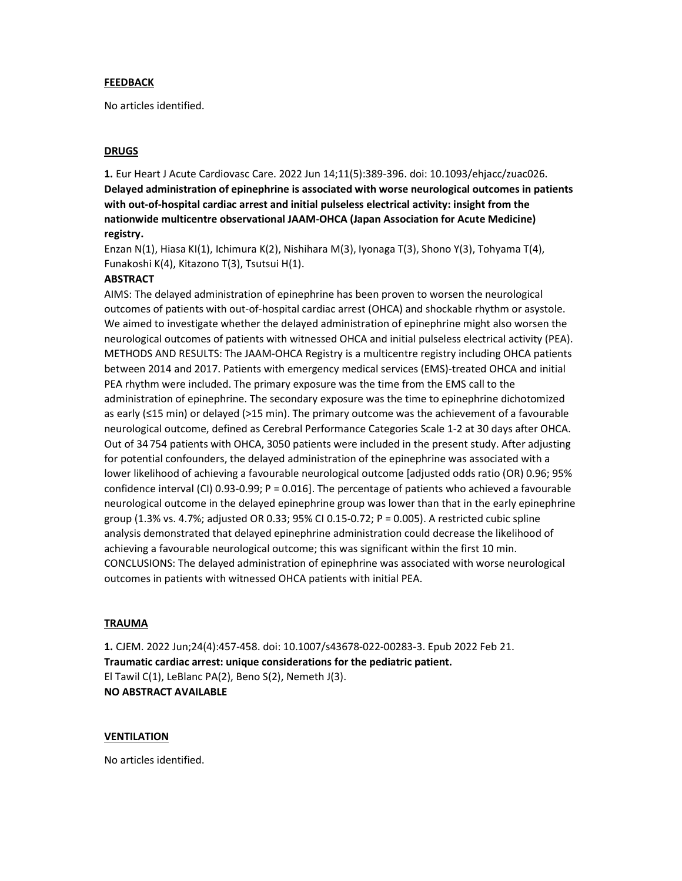#### FEEDBACK

No articles identified.

### DRUGS

1. Eur Heart J Acute Cardiovasc Care. 2022 Jun 14;11(5):389-396. doi: 10.1093/ehjacc/zuac026. Delayed administration of epinephrine is associated with worse neurological outcomes in patients with out-of-hospital cardiac arrest and initial pulseless electrical activity: insight from the nationwide multicentre observational JAAM-OHCA (Japan Association for Acute Medicine) registry.

Enzan N(1), Hiasa KI(1), Ichimura K(2), Nishihara M(3), Iyonaga T(3), Shono Y(3), Tohyama T(4), Funakoshi K(4), Kitazono T(3), Tsutsui H(1).

#### **ABSTRACT**

AIMS: The delayed administration of epinephrine has been proven to worsen the neurological outcomes of patients with out-of-hospital cardiac arrest (OHCA) and shockable rhythm or asystole. We aimed to investigate whether the delayed administration of epinephrine might also worsen the neurological outcomes of patients with witnessed OHCA and initial pulseless electrical activity (PEA). METHODS AND RESULTS: The JAAM-OHCA Registry is a multicentre registry including OHCA patients between 2014 and 2017. Patients with emergency medical services (EMS)-treated OHCA and initial PEA rhythm were included. The primary exposure was the time from the EMS call to the administration of epinephrine. The secondary exposure was the time to epinephrine dichotomized as early (≤15 min) or delayed (>15 min). The primary outcome was the achievement of a favourable neurological outcome, defined as Cerebral Performance Categories Scale 1-2 at 30 days after OHCA. Out of 34 754 patients with OHCA, 3050 patients were included in the present study. After adjusting for potential confounders, the delayed administration of the epinephrine was associated with a lower likelihood of achieving a favourable neurological outcome [adjusted odds ratio (OR) 0.96; 95% confidence interval (CI) 0.93-0.99; P = 0.016]. The percentage of patients who achieved a favourable neurological outcome in the delayed epinephrine group was lower than that in the early epinephrine group (1.3% vs. 4.7%; adjusted OR 0.33; 95% CI 0.15-0.72; P = 0.005). A restricted cubic spline analysis demonstrated that delayed epinephrine administration could decrease the likelihood of achieving a favourable neurological outcome; this was significant within the first 10 min. CONCLUSIONS: The delayed administration of epinephrine was associated with worse neurological outcomes in patients with witnessed OHCA patients with initial PEA.

#### **TRAUMA**

1. CJEM. 2022 Jun;24(4):457-458. doi: 10.1007/s43678-022-00283-3. Epub 2022 Feb 21. Traumatic cardiac arrest: unique considerations for the pediatric patient. El Tawil C(1), LeBlanc PA(2), Beno S(2), Nemeth J(3). NO ABSTRACT AVAILABLE

#### VENTILATION

No articles identified.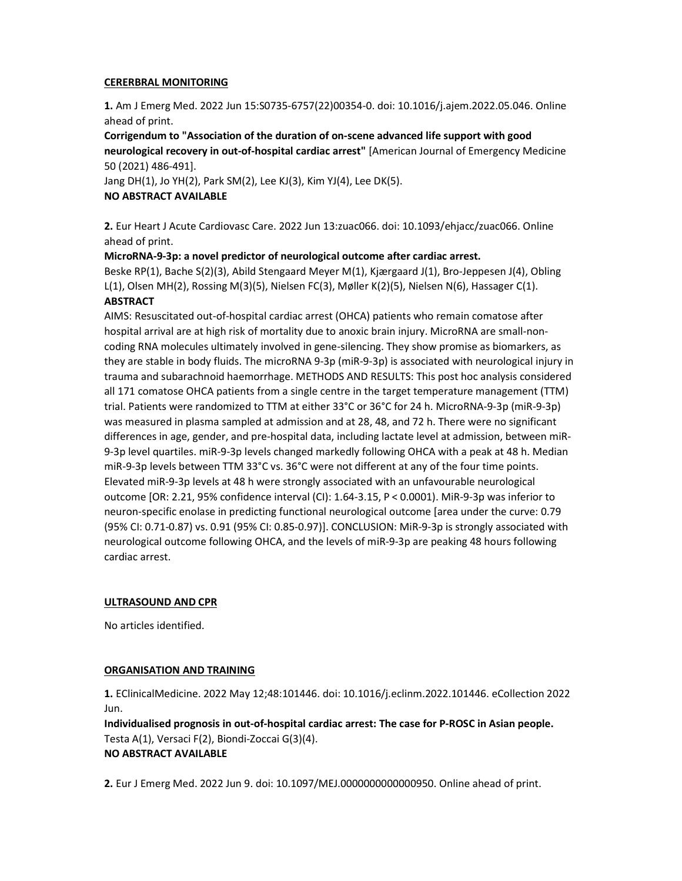## CERERBRAL MONITORING

1. Am J Emerg Med. 2022 Jun 15:S0735-6757(22)00354-0. doi: 10.1016/j.ajem.2022.05.046. Online ahead of print.

Corrigendum to "Association of the duration of on-scene advanced life support with good neurological recovery in out-of-hospital cardiac arrest" [American Journal of Emergency Medicine 50 (2021) 486-491].

Jang DH(1), Jo YH(2), Park SM(2), Lee KJ(3), Kim YJ(4), Lee DK(5). NO ABSTRACT AVAILABLE

2. Eur Heart J Acute Cardiovasc Care. 2022 Jun 13:zuac066. doi: 10.1093/ehjacc/zuac066. Online ahead of print.

MicroRNA-9-3p: a novel predictor of neurological outcome after cardiac arrest. Beske RP(1), Bache S(2)(3), Abild Stengaard Meyer M(1), Kjærgaard J(1), Bro-Jeppesen J(4), Obling L(1), Olsen MH(2), Rossing M(3)(5), Nielsen FC(3), Møller K(2)(5), Nielsen N(6), Hassager C(1).

## **ABSTRACT**

AIMS: Resuscitated out-of-hospital cardiac arrest (OHCA) patients who remain comatose after hospital arrival are at high risk of mortality due to anoxic brain injury. MicroRNA are small-noncoding RNA molecules ultimately involved in gene-silencing. They show promise as biomarkers, as they are stable in body fluids. The microRNA 9-3p (miR-9-3p) is associated with neurological injury in trauma and subarachnoid haemorrhage. METHODS AND RESULTS: This post hoc analysis considered all 171 comatose OHCA patients from a single centre in the target temperature management (TTM) trial. Patients were randomized to TTM at either 33°C or 36°C for 24 h. MicroRNA-9-3p (miR-9-3p) was measured in plasma sampled at admission and at 28, 48, and 72 h. There were no significant differences in age, gender, and pre-hospital data, including lactate level at admission, between miR-9-3p level quartiles. miR-9-3p levels changed markedly following OHCA with a peak at 48 h. Median miR-9-3p levels between TTM 33°C vs. 36°C were not different at any of the four time points. Elevated miR-9-3p levels at 48 h were strongly associated with an unfavourable neurological outcome [OR: 2.21, 95% confidence interval (CI): 1.64-3.15, P < 0.0001). MiR-9-3p was inferior to neuron-specific enolase in predicting functional neurological outcome [area under the curve: 0.79 (95% CI: 0.71-0.87) vs. 0.91 (95% CI: 0.85-0.97)]. CONCLUSION: MiR-9-3p is strongly associated with neurological outcome following OHCA, and the levels of miR-9-3p are peaking 48 hours following cardiac arrest.

## ULTRASOUND AND CPR

No articles identified.

## ORGANISATION AND TRAINING

1. EClinicalMedicine. 2022 May 12;48:101446. doi: 10.1016/j.eclinm.2022.101446. eCollection 2022 Jun.

Individualised prognosis in out-of-hospital cardiac arrest: The case for P-ROSC in Asian people. Testa A(1), Versaci F(2), Biondi-Zoccai G(3)(4). NO ABSTRACT AVAILABLE

2. Eur J Emerg Med. 2022 Jun 9. doi: 10.1097/MEJ.0000000000000950. Online ahead of print.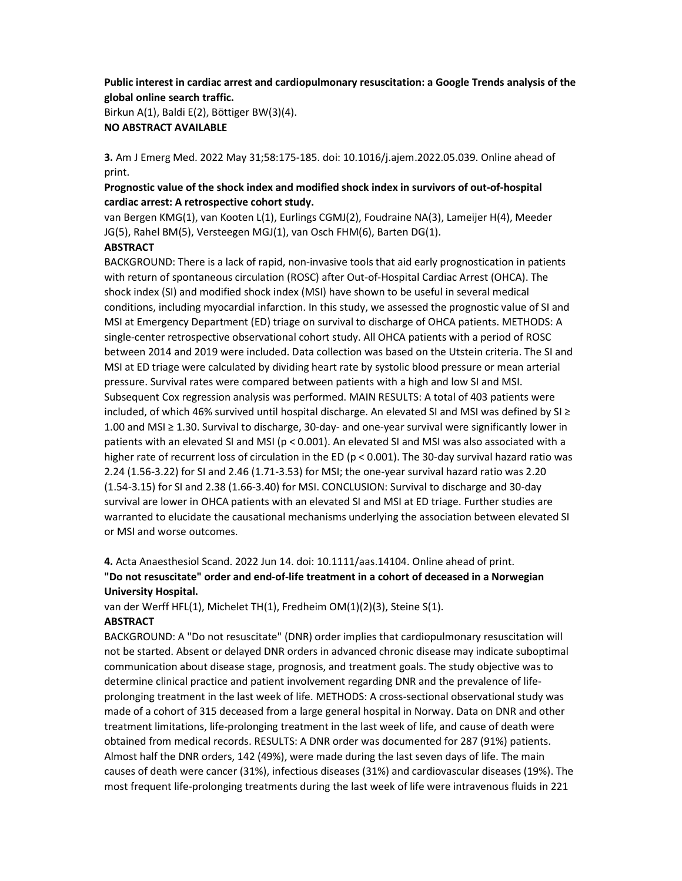## Public interest in cardiac arrest and cardiopulmonary resuscitation: a Google Trends analysis of the global online search traffic.

Birkun A(1), Baldi E(2), Böttiger BW(3)(4). NO ABSTRACT AVAILABLE

3. Am J Emerg Med. 2022 May 31;58:175-185. doi: 10.1016/j.ajem.2022.05.039. Online ahead of print.

## Prognostic value of the shock index and modified shock index in survivors of out-of-hospital cardiac arrest: A retrospective cohort study.

van Bergen KMG(1), van Kooten L(1), Eurlings CGMJ(2), Foudraine NA(3), Lameijer H(4), Meeder JG(5), Rahel BM(5), Versteegen MGJ(1), van Osch FHM(6), Barten DG(1).

## **ABSTRACT**

BACKGROUND: There is a lack of rapid, non-invasive tools that aid early prognostication in patients with return of spontaneous circulation (ROSC) after Out-of-Hospital Cardiac Arrest (OHCA). The shock index (SI) and modified shock index (MSI) have shown to be useful in several medical conditions, including myocardial infarction. In this study, we assessed the prognostic value of SI and MSI at Emergency Department (ED) triage on survival to discharge of OHCA patients. METHODS: A single-center retrospective observational cohort study. All OHCA patients with a period of ROSC between 2014 and 2019 were included. Data collection was based on the Utstein criteria. The SI and MSI at ED triage were calculated by dividing heart rate by systolic blood pressure or mean arterial pressure. Survival rates were compared between patients with a high and low SI and MSI. Subsequent Cox regression analysis was performed. MAIN RESULTS: A total of 403 patients were included, of which 46% survived until hospital discharge. An elevated SI and MSI was defined by SI ≥ 1.00 and MSI ≥ 1.30. Survival to discharge, 30-day- and one-year survival were significantly lower in patients with an elevated SI and MSI (p < 0.001). An elevated SI and MSI was also associated with a higher rate of recurrent loss of circulation in the ED (p < 0.001). The 30-day survival hazard ratio was 2.24 (1.56-3.22) for SI and 2.46 (1.71-3.53) for MSI; the one-year survival hazard ratio was 2.20 (1.54-3.15) for SI and 2.38 (1.66-3.40) for MSI. CONCLUSION: Survival to discharge and 30-day survival are lower in OHCA patients with an elevated SI and MSI at ED triage. Further studies are warranted to elucidate the causational mechanisms underlying the association between elevated SI or MSI and worse outcomes.

4. Acta Anaesthesiol Scand. 2022 Jun 14. doi: 10.1111/aas.14104. Online ahead of print. "Do not resuscitate" order and end-of-life treatment in a cohort of deceased in a Norwegian University Hospital.

van der Werff HFL(1), Michelet TH(1), Fredheim OM(1)(2)(3), Steine S(1).

## **ABSTRACT**

BACKGROUND: A "Do not resuscitate" (DNR) order implies that cardiopulmonary resuscitation will not be started. Absent or delayed DNR orders in advanced chronic disease may indicate suboptimal communication about disease stage, prognosis, and treatment goals. The study objective was to determine clinical practice and patient involvement regarding DNR and the prevalence of lifeprolonging treatment in the last week of life. METHODS: A cross-sectional observational study was made of a cohort of 315 deceased from a large general hospital in Norway. Data on DNR and other treatment limitations, life-prolonging treatment in the last week of life, and cause of death were obtained from medical records. RESULTS: A DNR order was documented for 287 (91%) patients. Almost half the DNR orders, 142 (49%), were made during the last seven days of life. The main causes of death were cancer (31%), infectious diseases (31%) and cardiovascular diseases (19%). The most frequent life-prolonging treatments during the last week of life were intravenous fluids in 221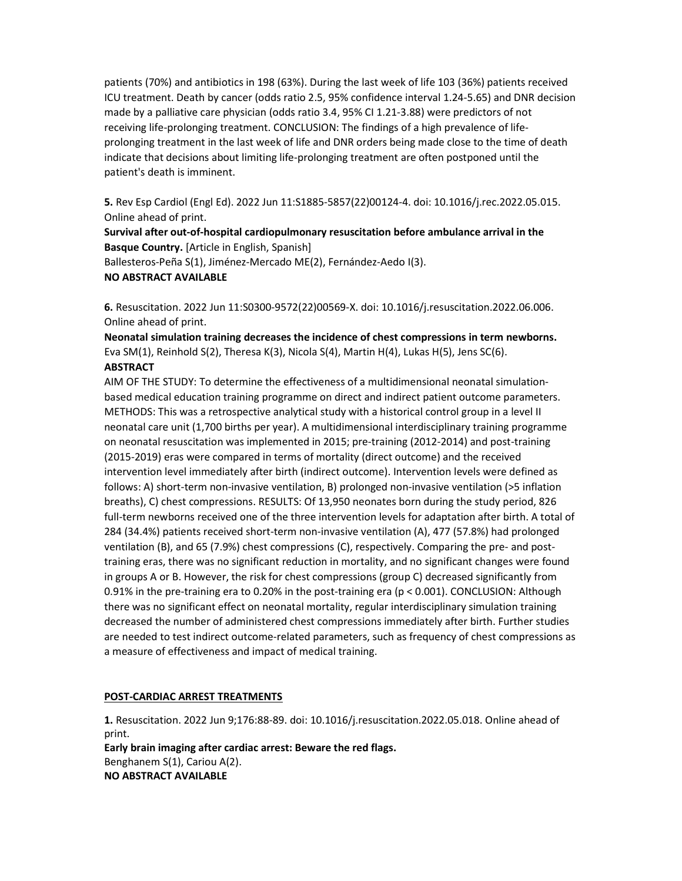patients (70%) and antibiotics in 198 (63%). During the last week of life 103 (36%) patients received ICU treatment. Death by cancer (odds ratio 2.5, 95% confidence interval 1.24-5.65) and DNR decision made by a palliative care physician (odds ratio 3.4, 95% CI 1.21-3.88) were predictors of not receiving life-prolonging treatment. CONCLUSION: The findings of a high prevalence of lifeprolonging treatment in the last week of life and DNR orders being made close to the time of death indicate that decisions about limiting life-prolonging treatment are often postponed until the patient's death is imminent.

5. Rev Esp Cardiol (Engl Ed). 2022 Jun 11:S1885-5857(22)00124-4. doi: 10.1016/j.rec.2022.05.015. Online ahead of print.

Survival after out-of-hospital cardiopulmonary resuscitation before ambulance arrival in the Basque Country. [Article in English, Spanish]

Ballesteros-Peña S(1), Jiménez-Mercado ME(2), Fernández-Aedo I(3).

## NO ABSTRACT AVAILABLE

6. Resuscitation. 2022 Jun 11:S0300-9572(22)00569-X. doi: 10.1016/j.resuscitation.2022.06.006. Online ahead of print.

Neonatal simulation training decreases the incidence of chest compressions in term newborns. Eva SM(1), Reinhold S(2), Theresa K(3), Nicola S(4), Martin H(4), Lukas H(5), Jens SC(6). **ABSTRACT** 

AIM OF THE STUDY: To determine the effectiveness of a multidimensional neonatal simulationbased medical education training programme on direct and indirect patient outcome parameters. METHODS: This was a retrospective analytical study with a historical control group in a level II neonatal care unit (1,700 births per year). A multidimensional interdisciplinary training programme on neonatal resuscitation was implemented in 2015; pre-training (2012-2014) and post-training (2015-2019) eras were compared in terms of mortality (direct outcome) and the received intervention level immediately after birth (indirect outcome). Intervention levels were defined as follows: A) short-term non-invasive ventilation, B) prolonged non-invasive ventilation (>5 inflation breaths), C) chest compressions. RESULTS: Of 13,950 neonates born during the study period, 826 full-term newborns received one of the three intervention levels for adaptation after birth. A total of 284 (34.4%) patients received short-term non-invasive ventilation (A), 477 (57.8%) had prolonged ventilation (B), and 65 (7.9%) chest compressions (C), respectively. Comparing the pre- and posttraining eras, there was no significant reduction in mortality, and no significant changes were found in groups A or B. However, the risk for chest compressions (group C) decreased significantly from 0.91% in the pre-training era to 0.20% in the post-training era (p < 0.001). CONCLUSION: Although there was no significant effect on neonatal mortality, regular interdisciplinary simulation training decreased the number of administered chest compressions immediately after birth. Further studies are needed to test indirect outcome-related parameters, such as frequency of chest compressions as a measure of effectiveness and impact of medical training.

### POST-CARDIAC ARREST TREATMENTS

1. Resuscitation. 2022 Jun 9;176:88-89. doi: 10.1016/j.resuscitation.2022.05.018. Online ahead of print.

Early brain imaging after cardiac arrest: Beware the red flags. Benghanem S(1), Cariou A(2). NO ABSTRACT AVAILABLE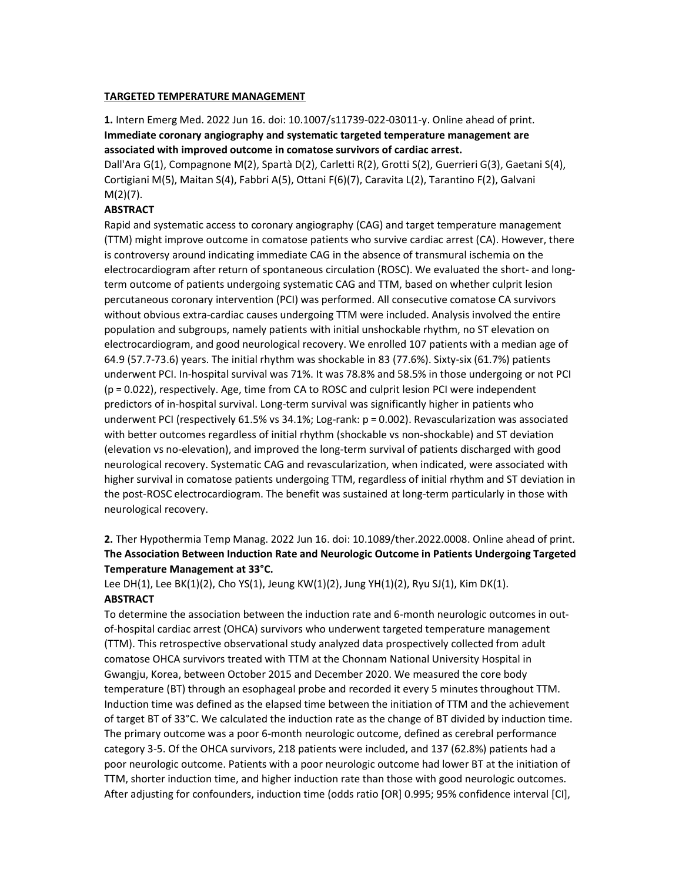### TARGETED TEMPERATURE MANAGEMENT

1. Intern Emerg Med. 2022 Jun 16. doi: 10.1007/s11739-022-03011-y. Online ahead of print. Immediate coronary angiography and systematic targeted temperature management are associated with improved outcome in comatose survivors of cardiac arrest.

Dall'Ara G(1), Compagnone M(2), Spartà D(2), Carletti R(2), Grotti S(2), Guerrieri G(3), Gaetani S(4), Cortigiani M(5), Maitan S(4), Fabbri A(5), Ottani F(6)(7), Caravita L(2), Tarantino F(2), Galvani M(2)(7).

## **ABSTRACT**

Rapid and systematic access to coronary angiography (CAG) and target temperature management (TTM) might improve outcome in comatose patients who survive cardiac arrest (CA). However, there is controversy around indicating immediate CAG in the absence of transmural ischemia on the electrocardiogram after return of spontaneous circulation (ROSC). We evaluated the short- and longterm outcome of patients undergoing systematic CAG and TTM, based on whether culprit lesion percutaneous coronary intervention (PCI) was performed. All consecutive comatose CA survivors without obvious extra-cardiac causes undergoing TTM were included. Analysis involved the entire population and subgroups, namely patients with initial unshockable rhythm, no ST elevation on electrocardiogram, and good neurological recovery. We enrolled 107 patients with a median age of 64.9 (57.7-73.6) years. The initial rhythm was shockable in 83 (77.6%). Sixty-six (61.7%) patients underwent PCI. In-hospital survival was 71%. It was 78.8% and 58.5% in those undergoing or not PCI (p = 0.022), respectively. Age, time from CA to ROSC and culprit lesion PCI were independent predictors of in-hospital survival. Long-term survival was significantly higher in patients who underwent PCI (respectively 61.5% vs 34.1%; Log-rank: p = 0.002). Revascularization was associated with better outcomes regardless of initial rhythm (shockable vs non-shockable) and ST deviation (elevation vs no-elevation), and improved the long-term survival of patients discharged with good neurological recovery. Systematic CAG and revascularization, when indicated, were associated with higher survival in comatose patients undergoing TTM, regardless of initial rhythm and ST deviation in the post-ROSC electrocardiogram. The benefit was sustained at long-term particularly in those with neurological recovery.

2. Ther Hypothermia Temp Manag. 2022 Jun 16. doi: 10.1089/ther.2022.0008. Online ahead of print. The Association Between Induction Rate and Neurologic Outcome in Patients Undergoing Targeted Temperature Management at 33°C.

Lee DH(1), Lee BK(1)(2), Cho YS(1), Jeung KW(1)(2), Jung YH(1)(2), Ryu SJ(1), Kim DK(1). **ABSTRACT** 

To determine the association between the induction rate and 6-month neurologic outcomes in outof-hospital cardiac arrest (OHCA) survivors who underwent targeted temperature management (TTM). This retrospective observational study analyzed data prospectively collected from adult comatose OHCA survivors treated with TTM at the Chonnam National University Hospital in Gwangju, Korea, between October 2015 and December 2020. We measured the core body temperature (BT) through an esophageal probe and recorded it every 5 minutes throughout TTM. Induction time was defined as the elapsed time between the initiation of TTM and the achievement of target BT of 33°C. We calculated the induction rate as the change of BT divided by induction time. The primary outcome was a poor 6-month neurologic outcome, defined as cerebral performance category 3-5. Of the OHCA survivors, 218 patients were included, and 137 (62.8%) patients had a poor neurologic outcome. Patients with a poor neurologic outcome had lower BT at the initiation of TTM, shorter induction time, and higher induction rate than those with good neurologic outcomes. After adjusting for confounders, induction time (odds ratio [OR] 0.995; 95% confidence interval [CI],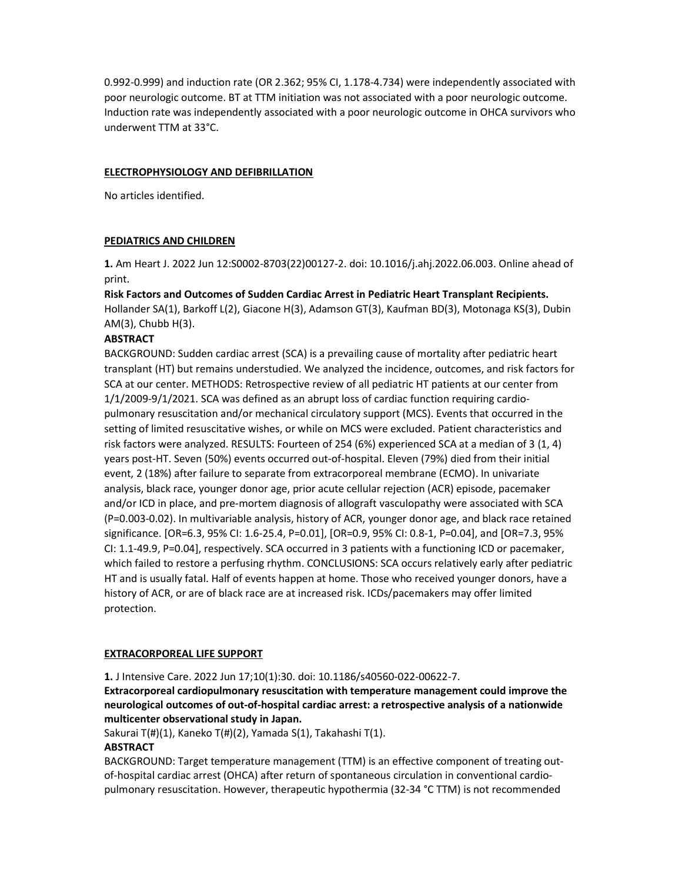0.992-0.999) and induction rate (OR 2.362; 95% CI, 1.178-4.734) were independently associated with poor neurologic outcome. BT at TTM initiation was not associated with a poor neurologic outcome. Induction rate was independently associated with a poor neurologic outcome in OHCA survivors who underwent TTM at 33°C.

### ELECTROPHYSIOLOGY AND DEFIBRILLATION

No articles identified.

## PEDIATRICS AND CHILDREN

1. Am Heart J. 2022 Jun 12:S0002-8703(22)00127-2. doi: 10.1016/j.ahj.2022.06.003. Online ahead of print.

Risk Factors and Outcomes of Sudden Cardiac Arrest in Pediatric Heart Transplant Recipients. Hollander SA(1), Barkoff L(2), Giacone H(3), Adamson GT(3), Kaufman BD(3), Motonaga KS(3), Dubin AM(3), Chubb H(3).

## **ABSTRACT**

BACKGROUND: Sudden cardiac arrest (SCA) is a prevailing cause of mortality after pediatric heart transplant (HT) but remains understudied. We analyzed the incidence, outcomes, and risk factors for SCA at our center. METHODS: Retrospective review of all pediatric HT patients at our center from 1/1/2009-9/1/2021. SCA was defined as an abrupt loss of cardiac function requiring cardiopulmonary resuscitation and/or mechanical circulatory support (MCS). Events that occurred in the setting of limited resuscitative wishes, or while on MCS were excluded. Patient characteristics and risk factors were analyzed. RESULTS: Fourteen of 254 (6%) experienced SCA at a median of 3 (1, 4) years post-HT. Seven (50%) events occurred out-of-hospital. Eleven (79%) died from their initial event, 2 (18%) after failure to separate from extracorporeal membrane (ECMO). In univariate analysis, black race, younger donor age, prior acute cellular rejection (ACR) episode, pacemaker and/or ICD in place, and pre-mortem diagnosis of allograft vasculopathy were associated with SCA (P=0.003-0.02). In multivariable analysis, history of ACR, younger donor age, and black race retained significance. [OR=6.3, 95% CI: 1.6-25.4, P=0.01], [OR=0.9, 95% CI: 0.8-1, P=0.04], and [OR=7.3, 95% CI: 1.1-49.9, P=0.04], respectively. SCA occurred in 3 patients with a functioning ICD or pacemaker, which failed to restore a perfusing rhythm. CONCLUSIONS: SCA occurs relatively early after pediatric HT and is usually fatal. Half of events happen at home. Those who received younger donors, have a history of ACR, or are of black race are at increased risk. ICDs/pacemakers may offer limited protection.

## EXTRACORPOREAL LIFE SUPPORT

1. J Intensive Care. 2022 Jun 17;10(1):30. doi: 10.1186/s40560-022-00622-7.

Extracorporeal cardiopulmonary resuscitation with temperature management could improve the neurological outcomes of out-of-hospital cardiac arrest: a retrospective analysis of a nationwide multicenter observational study in Japan.

Sakurai T(#)(1), Kaneko T(#)(2), Yamada S(1), Takahashi T(1).

## **ABSTRACT**

BACKGROUND: Target temperature management (TTM) is an effective component of treating outof-hospital cardiac arrest (OHCA) after return of spontaneous circulation in conventional cardiopulmonary resuscitation. However, therapeutic hypothermia (32-34 °C TTM) is not recommended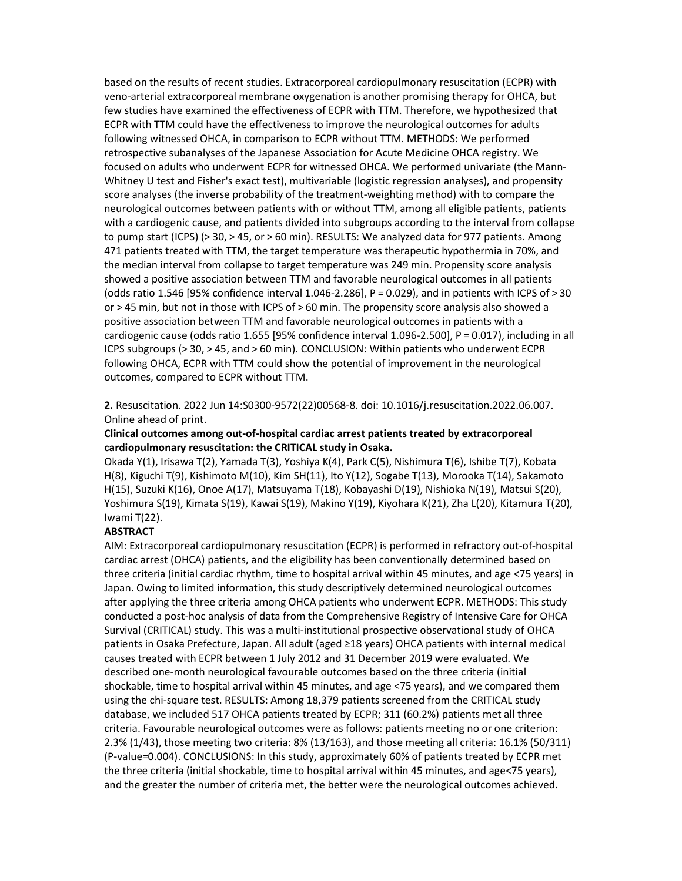based on the results of recent studies. Extracorporeal cardiopulmonary resuscitation (ECPR) with veno-arterial extracorporeal membrane oxygenation is another promising therapy for OHCA, but few studies have examined the effectiveness of ECPR with TTM. Therefore, we hypothesized that ECPR with TTM could have the effectiveness to improve the neurological outcomes for adults following witnessed OHCA, in comparison to ECPR without TTM. METHODS: We performed retrospective subanalyses of the Japanese Association for Acute Medicine OHCA registry. We focused on adults who underwent ECPR for witnessed OHCA. We performed univariate (the Mann-Whitney U test and Fisher's exact test), multivariable (logistic regression analyses), and propensity score analyses (the inverse probability of the treatment-weighting method) with to compare the neurological outcomes between patients with or without TTM, among all eligible patients, patients with a cardiogenic cause, and patients divided into subgroups according to the interval from collapse to pump start (ICPS) (> 30, > 45, or > 60 min). RESULTS: We analyzed data for 977 patients. Among 471 patients treated with TTM, the target temperature was therapeutic hypothermia in 70%, and the median interval from collapse to target temperature was 249 min. Propensity score analysis showed a positive association between TTM and favorable neurological outcomes in all patients (odds ratio 1.546 [95% confidence interval 1.046-2.286], P = 0.029), and in patients with ICPS of > 30 or > 45 min, but not in those with ICPS of > 60 min. The propensity score analysis also showed a positive association between TTM and favorable neurological outcomes in patients with a cardiogenic cause (odds ratio 1.655 [95% confidence interval 1.096-2.500], P = 0.017), including in all ICPS subgroups (> 30, > 45, and > 60 min). CONCLUSION: Within patients who underwent ECPR following OHCA, ECPR with TTM could show the potential of improvement in the neurological outcomes, compared to ECPR without TTM.

2. Resuscitation. 2022 Jun 14:S0300-9572(22)00568-8. doi: 10.1016/j.resuscitation.2022.06.007. Online ahead of print.

### Clinical outcomes among out-of-hospital cardiac arrest patients treated by extracorporeal cardiopulmonary resuscitation: the CRITICAL study in Osaka.

Okada Y(1), Irisawa T(2), Yamada T(3), Yoshiya K(4), Park C(5), Nishimura T(6), Ishibe T(7), Kobata H(8), Kiguchi T(9), Kishimoto M(10), Kim SH(11), Ito Y(12), Sogabe T(13), Morooka T(14), Sakamoto H(15), Suzuki K(16), Onoe A(17), Matsuyama T(18), Kobayashi D(19), Nishioka N(19), Matsui S(20), Yoshimura S(19), Kimata S(19), Kawai S(19), Makino Y(19), Kiyohara K(21), Zha L(20), Kitamura T(20), Iwami T(22).

#### **ABSTRACT**

AIM: Extracorporeal cardiopulmonary resuscitation (ECPR) is performed in refractory out-of-hospital cardiac arrest (OHCA) patients, and the eligibility has been conventionally determined based on three criteria (initial cardiac rhythm, time to hospital arrival within 45 minutes, and age <75 years) in Japan. Owing to limited information, this study descriptively determined neurological outcomes after applying the three criteria among OHCA patients who underwent ECPR. METHODS: This study conducted a post-hoc analysis of data from the Comprehensive Registry of Intensive Care for OHCA Survival (CRITICAL) study. This was a multi-institutional prospective observational study of OHCA patients in Osaka Prefecture, Japan. All adult (aged ≥18 years) OHCA patients with internal medical causes treated with ECPR between 1 July 2012 and 31 December 2019 were evaluated. We described one-month neurological favourable outcomes based on the three criteria (initial shockable, time to hospital arrival within 45 minutes, and age <75 years), and we compared them using the chi-square test. RESULTS: Among 18,379 patients screened from the CRITICAL study database, we included 517 OHCA patients treated by ECPR; 311 (60.2%) patients met all three criteria. Favourable neurological outcomes were as follows: patients meeting no or one criterion: 2.3% (1/43), those meeting two criteria: 8% (13/163), and those meeting all criteria: 16.1% (50/311) (P-value=0.004). CONCLUSIONS: In this study, approximately 60% of patients treated by ECPR met the three criteria (initial shockable, time to hospital arrival within 45 minutes, and age<75 years), and the greater the number of criteria met, the better were the neurological outcomes achieved.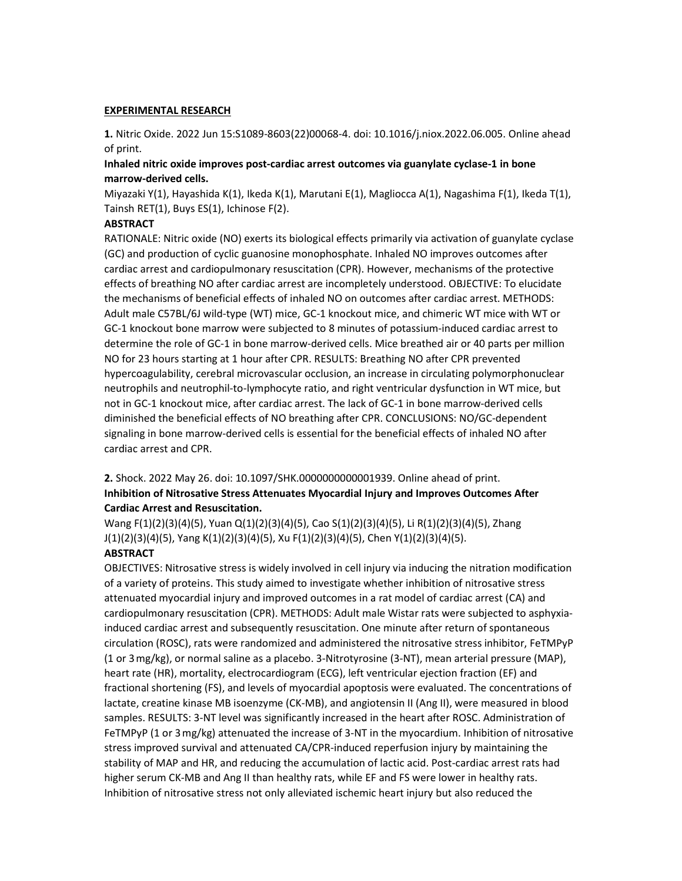#### EXPERIMENTAL RESEARCH

1. Nitric Oxide. 2022 Jun 15:S1089-8603(22)00068-4. doi: 10.1016/j.niox.2022.06.005. Online ahead of print.

## Inhaled nitric oxide improves post-cardiac arrest outcomes via guanylate cyclase-1 in bone marrow-derived cells.

Miyazaki Y(1), Hayashida K(1), Ikeda K(1), Marutani E(1), Magliocca A(1), Nagashima F(1), Ikeda T(1), Tainsh RET(1), Buys ES(1), Ichinose F(2).

### **ABSTRACT**

RATIONALE: Nitric oxide (NO) exerts its biological effects primarily via activation of guanylate cyclase (GC) and production of cyclic guanosine monophosphate. Inhaled NO improves outcomes after cardiac arrest and cardiopulmonary resuscitation (CPR). However, mechanisms of the protective effects of breathing NO after cardiac arrest are incompletely understood. OBJECTIVE: To elucidate the mechanisms of beneficial effects of inhaled NO on outcomes after cardiac arrest. METHODS: Adult male C57BL/6J wild-type (WT) mice, GC-1 knockout mice, and chimeric WT mice with WT or GC-1 knockout bone marrow were subjected to 8 minutes of potassium-induced cardiac arrest to determine the role of GC-1 in bone marrow-derived cells. Mice breathed air or 40 parts per million NO for 23 hours starting at 1 hour after CPR. RESULTS: Breathing NO after CPR prevented hypercoagulability, cerebral microvascular occlusion, an increase in circulating polymorphonuclear neutrophils and neutrophil-to-lymphocyte ratio, and right ventricular dysfunction in WT mice, but not in GC-1 knockout mice, after cardiac arrest. The lack of GC-1 in bone marrow-derived cells diminished the beneficial effects of NO breathing after CPR. CONCLUSIONS: NO/GC-dependent signaling in bone marrow-derived cells is essential for the beneficial effects of inhaled NO after cardiac arrest and CPR.

## 2. Shock. 2022 May 26. doi: 10.1097/SHK.0000000000001939. Online ahead of print. Inhibition of Nitrosative Stress Attenuates Myocardial Injury and Improves Outcomes After Cardiac Arrest and Resuscitation.

Wang F(1)(2)(3)(4)(5), Yuan Q(1)(2)(3)(4)(5), Cao S(1)(2)(3)(4)(5), Li R(1)(2)(3)(4)(5), Zhang J(1)(2)(3)(4)(5), Yang K(1)(2)(3)(4)(5), Xu F(1)(2)(3)(4)(5), Chen Y(1)(2)(3)(4)(5).

## **ABSTRACT**

OBJECTIVES: Nitrosative stress is widely involved in cell injury via inducing the nitration modification of a variety of proteins. This study aimed to investigate whether inhibition of nitrosative stress attenuated myocardial injury and improved outcomes in a rat model of cardiac arrest (CA) and cardiopulmonary resuscitation (CPR). METHODS: Adult male Wistar rats were subjected to asphyxiainduced cardiac arrest and subsequently resuscitation. One minute after return of spontaneous circulation (ROSC), rats were randomized and administered the nitrosative stress inhibitor, FeTMPyP (1 or 3 mg/kg), or normal saline as a placebo. 3-Nitrotyrosine (3-NT), mean arterial pressure (MAP), heart rate (HR), mortality, electrocardiogram (ECG), left ventricular ejection fraction (EF) and fractional shortening (FS), and levels of myocardial apoptosis were evaluated. The concentrations of lactate, creatine kinase MB isoenzyme (CK-MB), and angiotensin II (Ang II), were measured in blood samples. RESULTS: 3-NT level was significantly increased in the heart after ROSC. Administration of FeTMPyP (1 or 3 mg/kg) attenuated the increase of 3-NT in the myocardium. Inhibition of nitrosative stress improved survival and attenuated CA/CPR-induced reperfusion injury by maintaining the stability of MAP and HR, and reducing the accumulation of lactic acid. Post-cardiac arrest rats had higher serum CK-MB and Ang II than healthy rats, while EF and FS were lower in healthy rats. Inhibition of nitrosative stress not only alleviated ischemic heart injury but also reduced the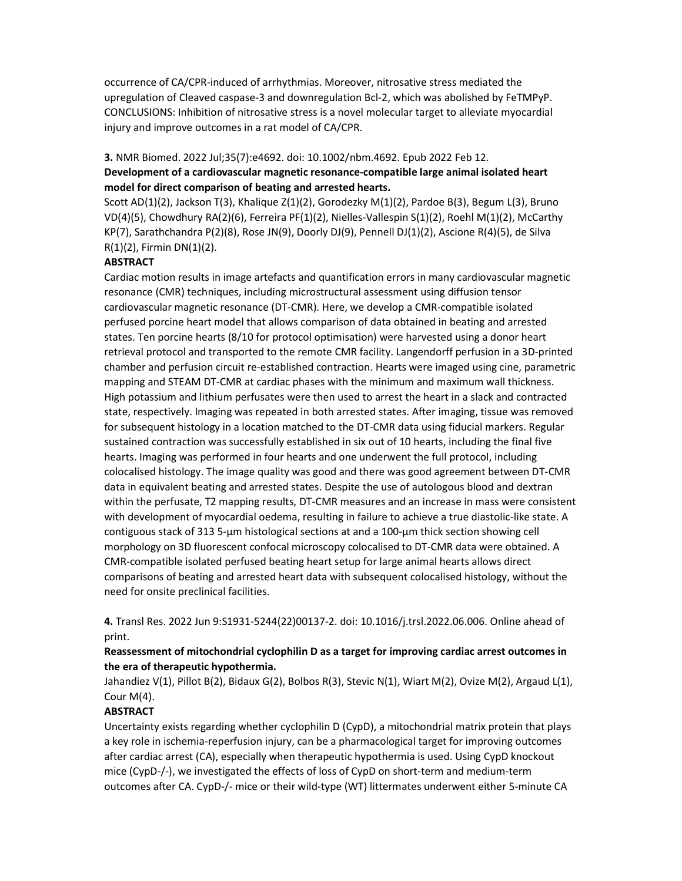occurrence of CA/CPR-induced of arrhythmias. Moreover, nitrosative stress mediated the upregulation of Cleaved caspase-3 and downregulation Bcl-2, which was abolished by FeTMPyP. CONCLUSIONS: Inhibition of nitrosative stress is a novel molecular target to alleviate myocardial injury and improve outcomes in a rat model of CA/CPR.

### 3. NMR Biomed. 2022 Jul;35(7):e4692. doi: 10.1002/nbm.4692. Epub 2022 Feb 12.

# Development of a cardiovascular magnetic resonance-compatible large animal isolated heart model for direct comparison of beating and arrested hearts.

Scott AD(1)(2), Jackson T(3), Khalique Z(1)(2), Gorodezky M(1)(2), Pardoe B(3), Begum L(3), Bruno VD(4)(5), Chowdhury RA(2)(6), Ferreira PF(1)(2), Nielles-Vallespin S(1)(2), Roehl M(1)(2), McCarthy KP(7), Sarathchandra P(2)(8), Rose JN(9), Doorly DJ(9), Pennell DJ(1)(2), Ascione R(4)(5), de Silva R(1)(2), Firmin DN(1)(2).

## **ABSTRACT**

Cardiac motion results in image artefacts and quantification errors in many cardiovascular magnetic resonance (CMR) techniques, including microstructural assessment using diffusion tensor cardiovascular magnetic resonance (DT-CMR). Here, we develop a CMR-compatible isolated perfused porcine heart model that allows comparison of data obtained in beating and arrested states. Ten porcine hearts (8/10 for protocol optimisation) were harvested using a donor heart retrieval protocol and transported to the remote CMR facility. Langendorff perfusion in a 3D-printed chamber and perfusion circuit re-established contraction. Hearts were imaged using cine, parametric mapping and STEAM DT-CMR at cardiac phases with the minimum and maximum wall thickness. High potassium and lithium perfusates were then used to arrest the heart in a slack and contracted state, respectively. Imaging was repeated in both arrested states. After imaging, tissue was removed for subsequent histology in a location matched to the DT-CMR data using fiducial markers. Regular sustained contraction was successfully established in six out of 10 hearts, including the final five hearts. Imaging was performed in four hearts and one underwent the full protocol, including colocalised histology. The image quality was good and there was good agreement between DT-CMR data in equivalent beating and arrested states. Despite the use of autologous blood and dextran within the perfusate, T2 mapping results, DT-CMR measures and an increase in mass were consistent with development of myocardial oedema, resulting in failure to achieve a true diastolic-like state. A contiguous stack of 313 5-μm histological sections at and a 100-μm thick section showing cell morphology on 3D fluorescent confocal microscopy colocalised to DT-CMR data were obtained. A CMR-compatible isolated perfused beating heart setup for large animal hearts allows direct comparisons of beating and arrested heart data with subsequent colocalised histology, without the need for onsite preclinical facilities.

4. Transl Res. 2022 Jun 9:S1931-5244(22)00137-2. doi: 10.1016/j.trsl.2022.06.006. Online ahead of print.

## Reassessment of mitochondrial cyclophilin D as a target for improving cardiac arrest outcomes in the era of therapeutic hypothermia.

Jahandiez V(1), Pillot B(2), Bidaux G(2), Bolbos R(3), Stevic N(1), Wiart M(2), Ovize M(2), Argaud L(1), Cour M(4).

## **ABSTRACT**

Uncertainty exists regarding whether cyclophilin D (CypD), a mitochondrial matrix protein that plays a key role in ischemia-reperfusion injury, can be a pharmacological target for improving outcomes after cardiac arrest (CA), especially when therapeutic hypothermia is used. Using CypD knockout mice (CypD-/-), we investigated the effects of loss of CypD on short-term and medium-term outcomes after CA. CypD-/- mice or their wild-type (WT) littermates underwent either 5-minute CA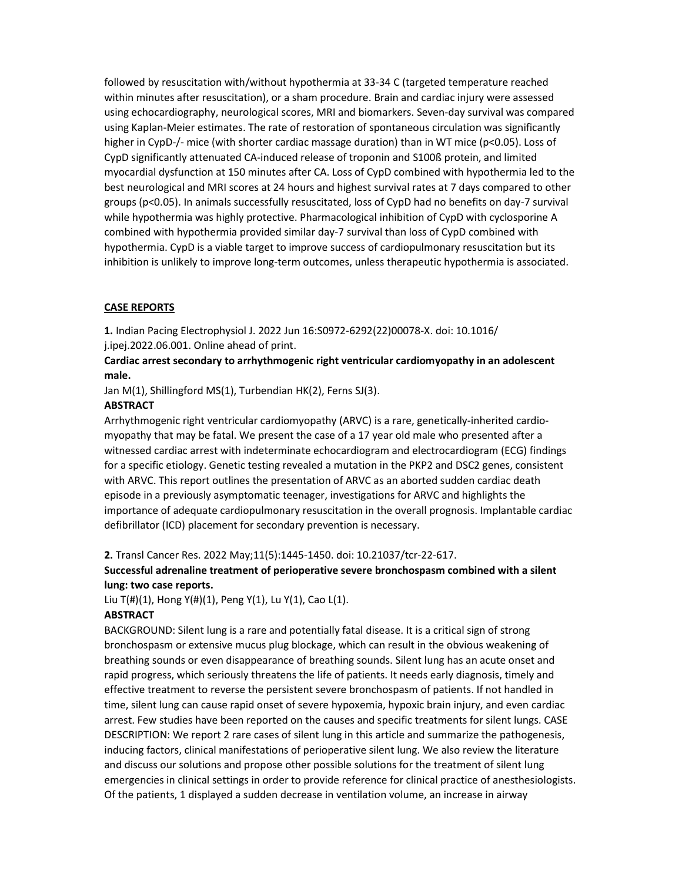followed by resuscitation with/without hypothermia at 33-34 C (targeted temperature reached within minutes after resuscitation), or a sham procedure. Brain and cardiac injury were assessed using echocardiography, neurological scores, MRI and biomarkers. Seven-day survival was compared using Kaplan-Meier estimates. The rate of restoration of spontaneous circulation was significantly higher in CypD-/- mice (with shorter cardiac massage duration) than in WT mice (p<0.05). Loss of CypD significantly attenuated CA-induced release of troponin and S100ß protein, and limited myocardial dysfunction at 150 minutes after CA. Loss of CypD combined with hypothermia led to the best neurological and MRI scores at 24 hours and highest survival rates at 7 days compared to other groups (p<0.05). In animals successfully resuscitated, loss of CypD had no benefits on day-7 survival while hypothermia was highly protective. Pharmacological inhibition of CypD with cyclosporine A combined with hypothermia provided similar day-7 survival than loss of CypD combined with hypothermia. CypD is a viable target to improve success of cardiopulmonary resuscitation but its inhibition is unlikely to improve long-term outcomes, unless therapeutic hypothermia is associated.

## CASE REPORTS

1. Indian Pacing Electrophysiol J. 2022 Jun 16:S0972-6292(22)00078-X. doi: 10.1016/ j.ipej.2022.06.001. Online ahead of print.

## Cardiac arrest secondary to arrhythmogenic right ventricular cardiomyopathy in an adolescent male.

Jan M(1), Shillingford MS(1), Turbendian HK(2), Ferns SJ(3).

### **ABSTRACT**

Arrhythmogenic right ventricular cardiomyopathy (ARVC) is a rare, genetically-inherited cardiomyopathy that may be fatal. We present the case of a 17 year old male who presented after a witnessed cardiac arrest with indeterminate echocardiogram and electrocardiogram (ECG) findings for a specific etiology. Genetic testing revealed a mutation in the PKP2 and DSC2 genes, consistent with ARVC. This report outlines the presentation of ARVC as an aborted sudden cardiac death episode in a previously asymptomatic teenager, investigations for ARVC and highlights the importance of adequate cardiopulmonary resuscitation in the overall prognosis. Implantable cardiac defibrillator (ICD) placement for secondary prevention is necessary.

### 2. Transl Cancer Res. 2022 May;11(5):1445-1450. doi: 10.21037/tcr-22-617.

## Successful adrenaline treatment of perioperative severe bronchospasm combined with a silent lung: two case reports.

Liu T(#)(1), Hong Y(#)(1), Peng Y(1), Lu Y(1), Cao L(1).

### **ABSTRACT**

BACKGROUND: Silent lung is a rare and potentially fatal disease. It is a critical sign of strong bronchospasm or extensive mucus plug blockage, which can result in the obvious weakening of breathing sounds or even disappearance of breathing sounds. Silent lung has an acute onset and rapid progress, which seriously threatens the life of patients. It needs early diagnosis, timely and effective treatment to reverse the persistent severe bronchospasm of patients. If not handled in time, silent lung can cause rapid onset of severe hypoxemia, hypoxic brain injury, and even cardiac arrest. Few studies have been reported on the causes and specific treatments for silent lungs. CASE DESCRIPTION: We report 2 rare cases of silent lung in this article and summarize the pathogenesis, inducing factors, clinical manifestations of perioperative silent lung. We also review the literature and discuss our solutions and propose other possible solutions for the treatment of silent lung emergencies in clinical settings in order to provide reference for clinical practice of anesthesiologists. Of the patients, 1 displayed a sudden decrease in ventilation volume, an increase in airway